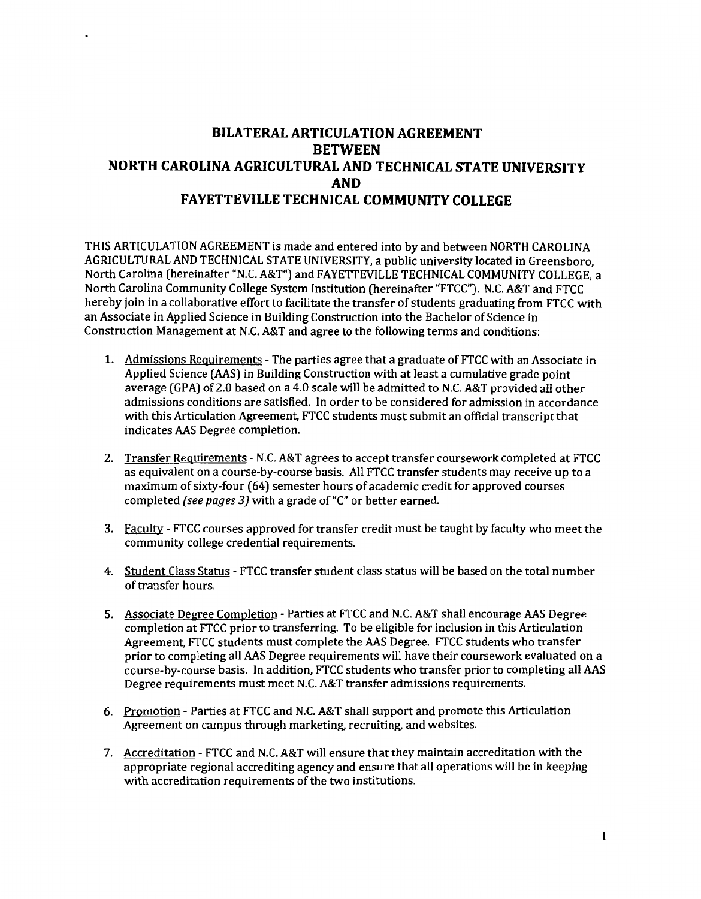## **BILATERAL ARTICULATION AGREEMENT BETWEEN NORTH CAROLINA AGRICULTURAL AND TECHNICAL STATE UNIVERSITY AND FAYETTEVILLE TECHNICAL COMMUNITY COLLEGE**

THIS ARTICULATION AGREEMENT is made and entered into by and between NORTH CAROLINA AGRICULTURAL AND TECHNICAL STATE UNIVERSITY, a public university located in Greensboro, North Carolina (hereinafter "N.C. A&T") and FAYETTEVILLE TECHNICAL COMMUNITY COLLEGE, a North Carolina Community College System Institution (hereinafter "FTCC"). N.C. A&T and FTCC hereby join in a collaborative effort to facilitate the transfer of students graduating from FTCC with an Associate in Applied Science in Building Construction into the Bachelor of Science in Construction Management at N.C. A&T and agree to the following terms and conditions:

- 1. Admissions Requirements The parties agree that a graduate of FTCC with an Associate in Applied Science (AAS) in Building Construction with at least a cumulative grade point average (GPA) of 2.0 based on a 4.0 scale will be admitted to N.C. A&T provided all other admissions conditions are satisfied. In order to be considered for admission in accordance with this Articulation Agreement, FTCC students must submit an official transcript that indicates AAS Degree completion.
- 2. Transfer Requirements N.C. A&T agrees to accept transfer coursework completed at FTCC as equivalent on a course-by-course basis. All FTCC transfer students may receive up to a maximum of sixty-four ( 64) semester hours of academic credit for approved courses completed *(see pages 3)* with a grade of"C" or better earned.
- 3. Faculty FTCC courses approved for transfer credit must be taught by faculty who meet the community college credential requirements.
- 4. Student Class Status FTCC transfer student class status will be based on the total number of transfer hours.
- 5. Associate Degree Completion Parties at FTCC and N.C. A&T shall encourage AAS Degree completion at FTCC prior to transferring. To be eligible for inclusion in this Articulation Agreement, FTCC students must complete the AAS Degree. FTCC students who transfer prior to completing all AAS Degree requirements will have their coursework evaluated on a course-by-course basis. In addition, FTCC students who transfer prior to completing all AAS Degree requirements must meet N.C. A&T transfer admissions requirements.
- 6. Promotion Parties at FTCC and N.C. A&T shall support and promote this Articulation Agreement on campus through marketing, recruiting, and websites.
- 7. Accreditation FTCC and N.C. A&T will ensure that they maintain accreditation with the appropriate regional accrediting agency and ensure that all operations will be in keeping with accreditation requirements of the two institutions.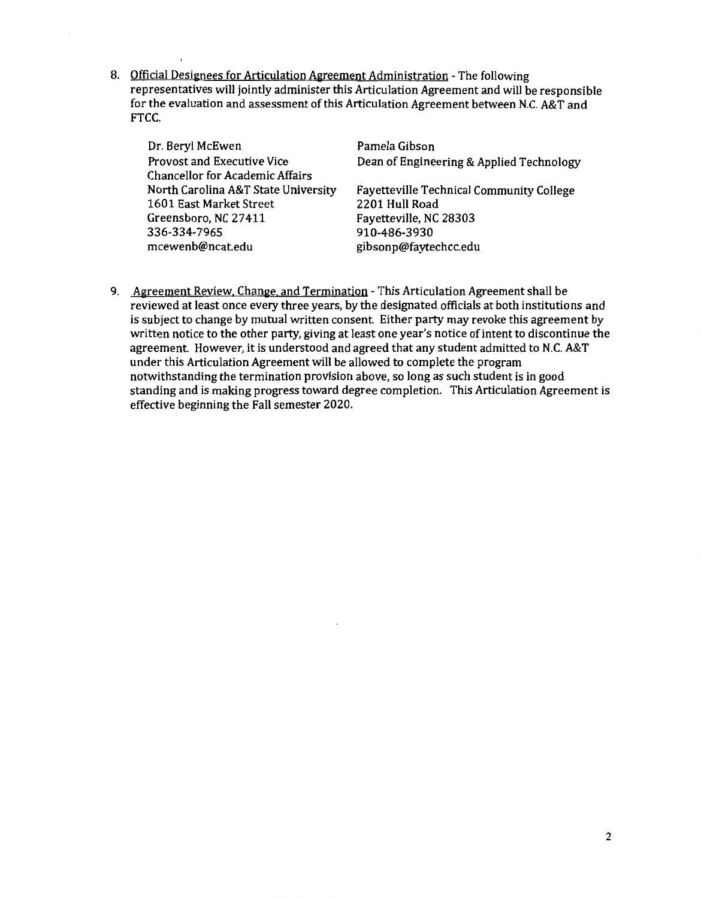8. Official Designees for Articulation Agreement Administration - The following representatives will jointly administer this Articulation Agreement and will be responsible for the evaluation and assessment of this Articulation Agreement between N.C. A&T and FTCC.

| Dr. Beryl McEwen                       | Pamela Gibson                                   |
|----------------------------------------|-------------------------------------------------|
| Provost and Executive Vice             | Dean of Engineering & Applied Technology        |
| <b>Chancellor for Academic Affairs</b> |                                                 |
| North Carolina A&T State University    | <b>Fayetteville Technical Community College</b> |
| 1601 East Market Street                | 2201 Hull Road                                  |
| Greensboro, NC 27411                   | Fayetteville, NC 28303                          |
| 336-334-7965                           | 910-486-3930                                    |
| mcewenb@ncat.edu                       | gibsonp@faytechcc.edu                           |

9. Agreement Review. Change. and Termination - This Articulation Agreement shall be reviewed at least once every three years, by the designated officials at both institutions and is subject to change by mutual written consent. Either party may revoke this agreement by written notice to the other party, giving at least one year's notice of intent to discontinue the agreement. However, it is understood and agreed that any student admitted to N.C. A&T under this Articulation Agreement will be allowed to complete the program notwithstanding the termination provision above, so long as such student is in good standing and is making progress toward degree completion. This Articulation Agreement is effective beginning the Fall semester 2020.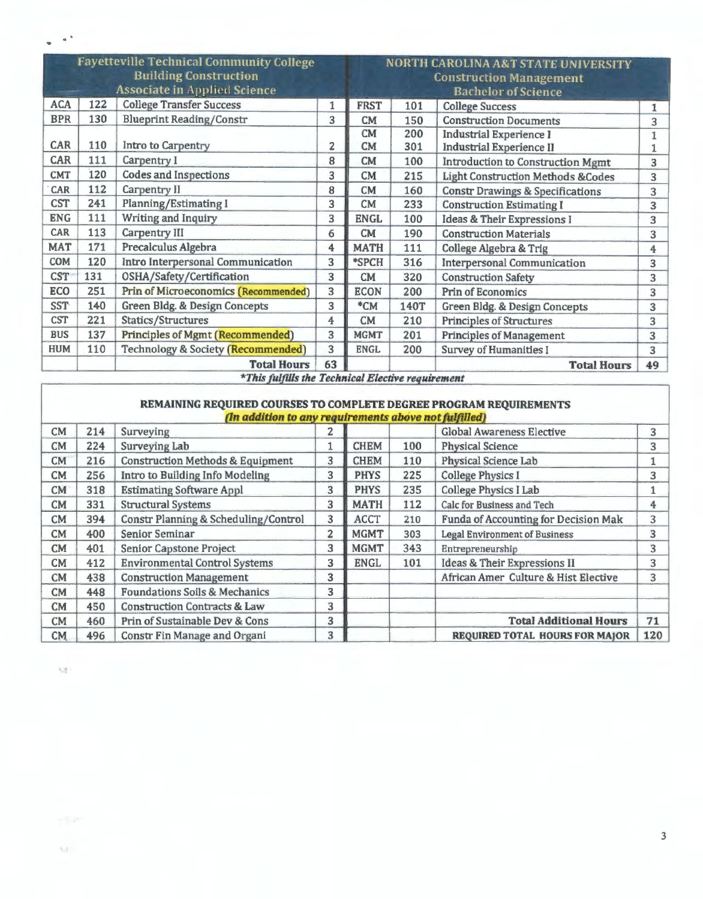|            | <b>Fayetteville Technical Community College</b><br><b>Building Construction</b><br><b>Associate in Applied Science</b> |                                                                           |    |                 | <b>NORTH CAROLINA A&amp;T STATE UNIVERSITY</b><br><b>Construction Management</b><br><b>Bachelor</b> of Science |                                                                   |                         |  |  |
|------------|------------------------------------------------------------------------------------------------------------------------|---------------------------------------------------------------------------|----|-----------------|----------------------------------------------------------------------------------------------------------------|-------------------------------------------------------------------|-------------------------|--|--|
| <b>ACA</b> | 122                                                                                                                    | <b>College Transfer Success</b>                                           | 1  | <b>FRST</b>     | 101                                                                                                            | <b>College Success</b>                                            | 1                       |  |  |
| <b>BPR</b> | 130                                                                                                                    | <b>Blueprint Reading/Constr</b>                                           | 3  | <b>CM</b>       | 150                                                                                                            | <b>Construction Documents</b>                                     | 3                       |  |  |
| CAR        | 110                                                                                                                    | Intro to Carpentry                                                        | 2  | CM<br><b>CM</b> | 200<br>301                                                                                                     | <b>Industrial Experience I</b><br><b>Industrial Experience II</b> | 1                       |  |  |
| <b>CAR</b> | 111                                                                                                                    | Carpentry I                                                               | 8  | <b>CM</b>       | 100                                                                                                            | Introduction to Construction Mgmt                                 | 3                       |  |  |
| <b>CMT</b> | 120                                                                                                                    | Codes and Inspections                                                     | 3  | CM              | 215                                                                                                            | <b>Light Construction Methods &amp;Codes</b>                      | 3                       |  |  |
| CAR        | 112                                                                                                                    | Carpentry II                                                              | 8  | CM              | 160                                                                                                            | <b>Constr Drawings &amp; Specifications</b>                       | 3                       |  |  |
| <b>CST</b> | 241                                                                                                                    | <b>Planning/Estimating I</b>                                              | 3  | <b>CM</b>       | 233                                                                                                            | <b>Construction Estimating I</b>                                  | $\overline{\mathbf{3}}$ |  |  |
| <b>ENG</b> | 111                                                                                                                    | Writing and Inquiry                                                       | 3  | <b>ENGL</b>     | 100                                                                                                            | <b>Ideas &amp; Their Expressions I</b>                            | 3                       |  |  |
| CAR        | 113                                                                                                                    | Carpentry III                                                             | 6  | CM              | 190                                                                                                            | <b>Construction Materials</b>                                     | 3                       |  |  |
| <b>MAT</b> | 171                                                                                                                    | Precalculus Algebra                                                       | 4  | <b>MATH</b>     | 111                                                                                                            | College Algebra & Trig                                            | 4                       |  |  |
| <b>COM</b> | 120                                                                                                                    | Intro Interpersonal Communication                                         | 3  | *SPCH           | 316                                                                                                            | <b>Interpersonal Communication</b>                                | 3                       |  |  |
| <b>CST</b> | 131                                                                                                                    | OSHA/Safety/Certification                                                 | 3  | CM              | 320                                                                                                            | <b>Construction Safety</b>                                        | 3                       |  |  |
| <b>ECO</b> | 251                                                                                                                    | <b>Prin of Microeconomics (Recommended)</b>                               | 3  | <b>ECON</b>     | 200                                                                                                            | <b>Prin of Economics</b>                                          | 3                       |  |  |
| <b>SST</b> | 140                                                                                                                    | Green Bldg. & Design Concepts                                             | 3  | $*CM$           | 140T                                                                                                           | Green Bldg. & Design Concepts                                     | 3                       |  |  |
| <b>CST</b> | 221                                                                                                                    | Statics/Structures                                                        | 4  | <b>CM</b>       | 210                                                                                                            | <b>Principles of Structures</b>                                   | 3                       |  |  |
| <b>BUS</b> | 137                                                                                                                    | <b>Principles of Mgmt (Recommended)</b>                                   | 3  | <b>MGMT</b>     | 201                                                                                                            | <b>Principles of Management</b>                                   | 3                       |  |  |
| <b>HUM</b> | 110                                                                                                                    | <b>Technology &amp; Society (Recommended)</b>                             | 3  | <b>ENGL</b>     | 200                                                                                                            | <b>Survey of Humanities I</b>                                     | 3                       |  |  |
|            |                                                                                                                        | <b>Total Hours</b><br>*This fulfills the Technical Election vacations and | 63 |                 |                                                                                                                | <b>Total Hours</b>                                                | 49                      |  |  |

*\*This fulfills the Technical Electi~e requirement* 

## **REMAINING REQUIRED COURSES TO COMPLETE DEGREE PROGRAM REQUIREMENTS**

|           |     | (In addition to any requirements above not fulfilled) |                |             |     |                                       |     |
|-----------|-----|-------------------------------------------------------|----------------|-------------|-----|---------------------------------------|-----|
| CM        | 214 | Surveying                                             | 2              |             |     | <b>Global Awareness Elective</b>      | 3   |
| CM        | 224 | Surveying Lab                                         |                | <b>CHEM</b> | 100 | <b>Physical Science</b>               | 3   |
| CM        | 216 | <b>Construction Methods &amp; Equipment</b>           | 3              | <b>CHEM</b> | 110 | Physical Science Lab                  |     |
| <b>CM</b> | 256 | Intro to Building Info Modeling                       | 3              | <b>PHYS</b> | 225 | <b>College Physics I</b>              | 3   |
| CM        | 318 | <b>Estimating Software Appl</b>                       | 3              | <b>PHYS</b> | 235 | <b>College Physics I Lab</b>          |     |
| <b>CM</b> | 331 | <b>Structural Systems</b>                             | 3              | <b>MATH</b> | 112 | Calc for Business and Tech            | 4   |
| CM        | 394 | Constr Planning & Scheduling/Control                  | 3              | <b>ACCT</b> | 210 | Funda of Accounting for Decision Mak  | 3   |
| CM        | 400 | Senior Seminar                                        | $\overline{2}$ | <b>MGMT</b> | 303 | <b>Legal Environment of Business</b>  | 3   |
| <b>CM</b> | 401 | Senior Capstone Project                               | 3              | <b>MGMT</b> | 343 | Entrepreneurship                      | 3   |
| CM        | 412 | <b>Environmental Control Systems</b>                  | 3              | <b>ENGL</b> | 101 | Ideas & Their Expressions II          | 3   |
| CM        | 438 | <b>Construction Management</b>                        | 3              |             |     | African Amer Culture & Hist Elective  | 3   |
| <b>CM</b> | 448 | <b>Foundations Soils &amp; Mechanics</b>              | 3              |             |     |                                       |     |
| <b>CM</b> | 450 | <b>Construction Contracts &amp; Law</b>               | 3              |             |     |                                       |     |
| CM        | 460 | Prin of Sustainable Dev & Cons                        | 3              |             |     | <b>Total Additional Hours</b>         | 71  |
| <b>CM</b> | 496 | Constr Fin Manage and Organi                          | 3              |             |     | <b>REQUIRED TOTAL HOURS FOR MAJOR</b> | 120 |

 $\eta$ 

 $\gamma_{\rm eff}$ 

 $\alpha^{-1}$ 

3